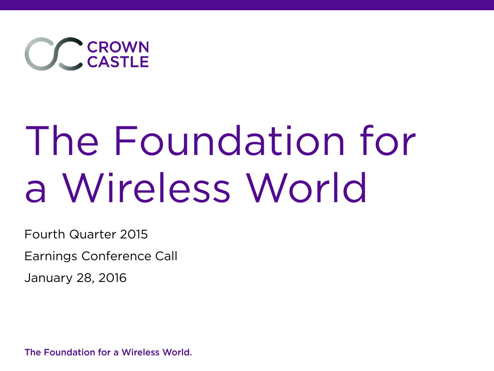

# The Foundation for a Wireless World

Fourth Quarter 2015

Earnings Conference Call

January 28, 2016

The Foundation for a Wireless World.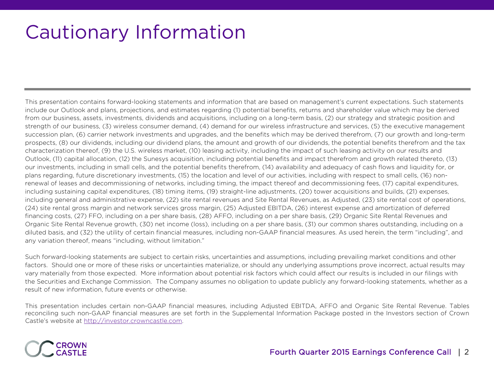### Cautionary Information

This presentation contains forward-looking statements and information that are based on management's current expectations. Such statements include our Outlook and plans, projections, and estimates regarding (1) potential benefits, returns and shareholder value which may be derived from our business, assets, investments, dividends and acquisitions, including on a long-term basis, (2) our strategy and strategic position and strength of our business, (3) wireless consumer demand, (4) demand for our wireless infrastructure and services, (5) the executive management succession plan, (6) carrier network investments and upgrades, and the benefits which may be derived therefrom, (7) our growth and long-term prospects, (8) our dividends, including our dividend plans, the amount and growth of our dividends, the potential benefits therefrom and the tax characterization thereof, (9) the U.S. wireless market, (10) leasing activity, including the impact of such leasing activity on our results and Outlook, (11) capital allocation, (12) the Sunesys acquisition, including potential benefits and impact therefrom and growth related thereto, (13) our investments, including in small cells, and the potential benefits therefrom, (14) availability and adequacy of cash flows and liquidity for, or plans regarding, future discretionary investments, (15) the location and level of our activities, including with respect to small cells, (16) nonrenewal of leases and decommissioning of networks, including timing, the impact thereof and decommissioning fees, (17) capital expenditures, including sustaining capital expenditures, (18) timing items, (19) straight-line adjustments, (20) tower acquisitions and builds, (21) expenses, including general and administrative expense, (22) site rental revenues and Site Rental Revenues, as Adjusted, (23) site rental cost of operations, (24) site rental gross margin and network services gross margin, (25) Adjusted EBITDA, (26) interest expense and amortization of deferred financing costs, (27) FFO, including on a per share basis, (28) AFFO, including on a per share basis, (29) Organic Site Rental Revenues and Organic Site Rental Revenue growth, (30) net income (loss), including on a per share basis, (31) our common shares outstanding, including on a diluted basis, and (32) the utility of certain financial measures, including non-GAAP financial measures. As used herein, the term "including", and any variation thereof, means "including, without limitation."

Such forward-looking statements are subject to certain risks, uncertainties and assumptions, including prevailing market conditions and other factors. Should one or more of these risks or uncertainties materialize, or should any underlying assumptions prove incorrect, actual results may vary materially from those expected. More information about potential risk factors which could affect our results is included in our filings with the Securities and Exchange Commission. The Company assumes no obligation to update publicly any forward-looking statements, whether as a result of new information, future events or otherwise.

This presentation includes certain non-GAAP financial measures, including Adjusted EBITDA, AFFO and Organic Site Rental Revenue. Tables reconciling such non-GAAP financial measures are set forth in the Supplemental Information Package posted in the Investors section of Crown Castle's website at http://investor.crowncastle.com.

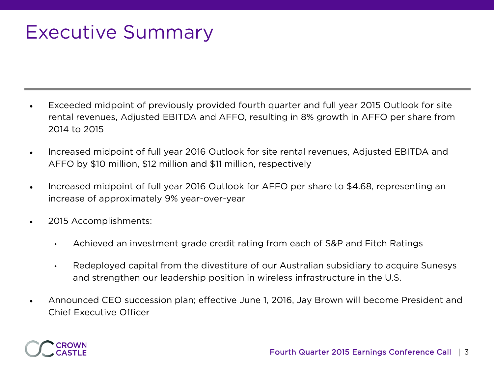### Executive Summary

- Exceeded midpoint of previously provided fourth quarter and full year 2015 Outlook for site rental revenues, Adjusted EBITDA and AFFO, resulting in 8% growth in AFFO per share from 2014 to 2015
- Increased midpoint of full year 2016 Outlook for site rental revenues, Adjusted EBITDA and AFFO by \$10 million, \$12 million and \$11 million, respectively
- Increased midpoint of full year 2016 Outlook for AFFO per share to \$4.68, representing an increase of approximately 9% year-over-year
- 2015 Accomplishments:
	- Achieved an investment grade credit rating from each of S&P and Fitch Ratings
	- Redeployed capital from the divestiture of our Australian subsidiary to acquire Sunesys and strengthen our leadership position in wireless infrastructure in the U.S.
- Announced CEO succession plan; effective June 1, 2016, Jay Brown will become President and Chief Executive Officer

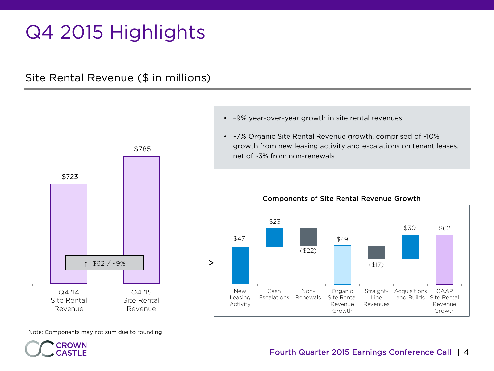### Q4 2015 Highlights

Site Rental Revenue (\$ in millions)



• ~9% year-over-year growth in site rental revenues

Fourth Quarter 2015 Earnings Conference Call | 4

Note: Components may not sum due to rounding

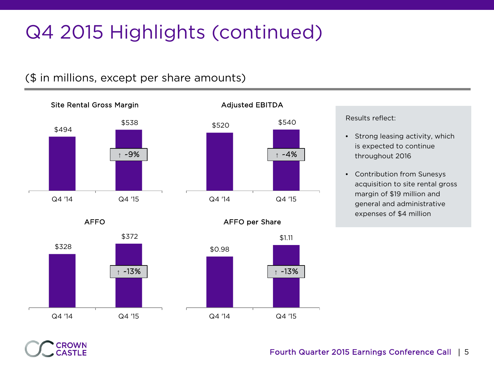## Q4 2015 Highlights (continued)

#### (\$ in millions, except per share amounts)



AFFO



Results reflect:

**↑** ~4%

AFFO per Share

- Strong leasing activity, which is expected to continue throughout 2016
- Contribution from Sunesys acquisition to site rental gross margin of \$19 million and general and administrative expenses of \$4 million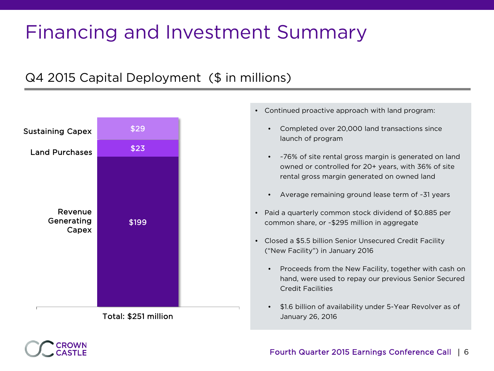### Financing and Investment Summary

### Q4 2015 Capital Deployment (\$ in millions)



Total: \$251 million

- Continued proactive approach with land program:
	- Completed over 20,000 land transactions since launch of program
	- ~76% of site rental gross margin is generated on land owned or controlled for 20+ years, with 36% of site rental gross margin generated on owned land
	- Average remaining ground lease term of ~31 years
- Paid a quarterly common stock dividend of \$0.885 per common share, or ~\$295 million in aggregate
- Closed a \$5.5 billion Senior Unsecured Credit Facility ("New Facility") in January 2016
	- Proceeds from the New Facility, together with cash on hand, were used to repay our previous Senior Secured Credit Facilities
	- \$1.6 billion of availability under 5-Year Revolver as of January 26, 2016